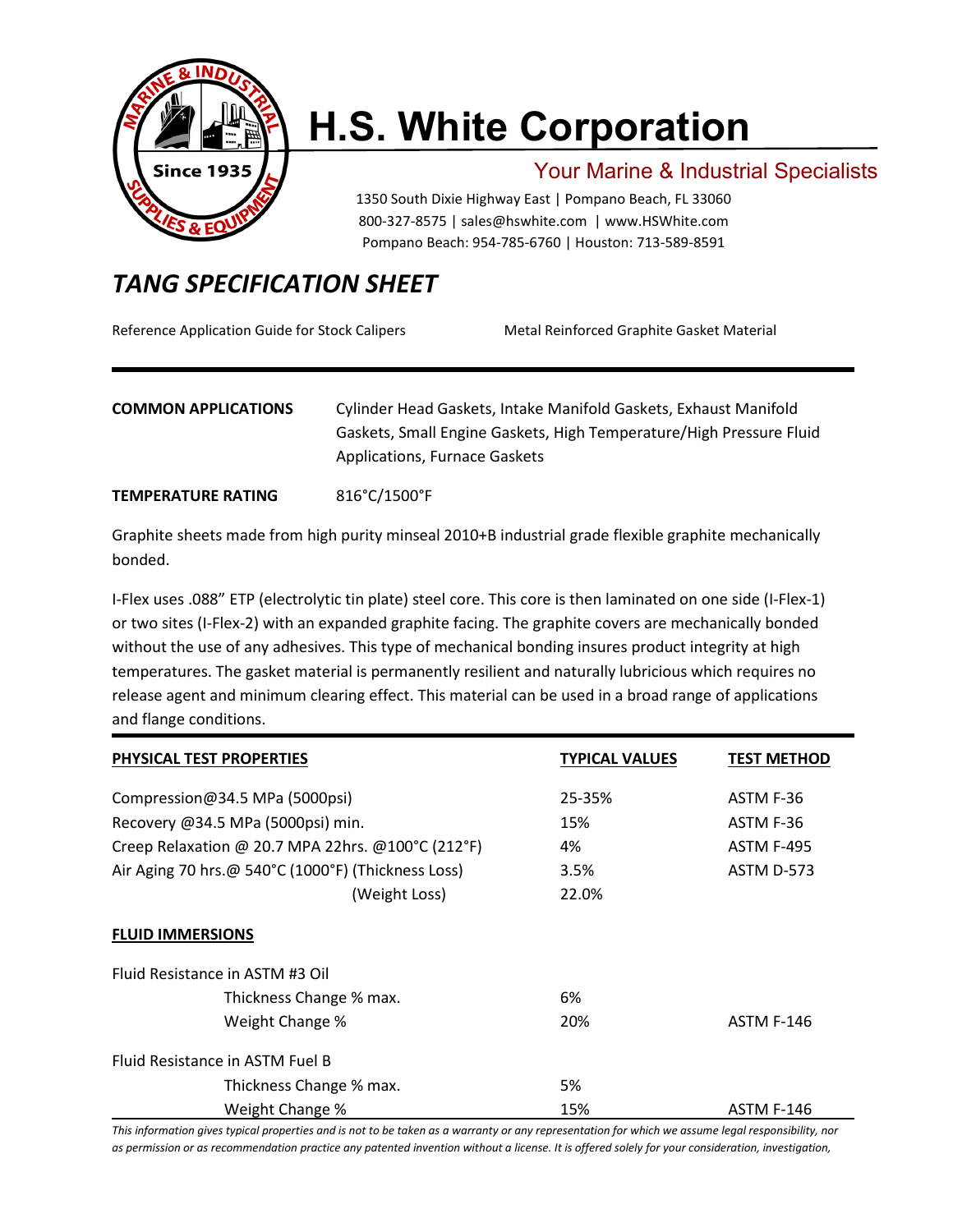

# **H.S. White Corporation**

### Your Marine & Industrial Specialists

1350 South Dixie Highway East | Pompano Beach, FL 33060 800-327-8575 | [sales@hswhite.com](mailto:sales@hswhite.com) | [www.HSWhite.com](http://www.hswhite.com/) Pompano Beach: 954-785-6760 | Houston: 713-589-8591

## *TANG SPECIFICATION SHEET*

Reference Application Guide for Stock Calipers Metal Reinforced Graphite Gasket Material

#### **COMMON APPLICATIONS** Cylinder Head Gaskets, Intake Manifold Gaskets, Exhaust Manifold Gaskets, Small Engine Gaskets, High Temperature/High Pressure Fluid Applications, Furnace Gaskets

#### **TEMPERATURE RATING** 816°C/1500°F

Graphite sheets made from high purity minseal 2010+B industrial grade flexible graphite mechanically bonded.

I-Flex uses .088" ETP (electrolytic tin plate) steel core. This core is then laminated on one side (I-Flex-1) or two sites (I-Flex-2) with an expanded graphite facing. The graphite covers are mechanically bonded without the use of any adhesives. This type of mechanical bonding insures product integrity at high temperatures. The gasket material is permanently resilient and naturally lubricious which requires no release agent and minimum clearing effect. This material can be used in a broad range of applications and flange conditions.

| <b>PHYSICAL TEST PROPERTIES</b>                    | <b>TYPICAL VALUES</b> | TEST METHOD       |
|----------------------------------------------------|-----------------------|-------------------|
| Compression@34.5 MPa (5000psi)                     | 25-35%                | ASTM F-36         |
| Recovery @34.5 MPa (5000psi) min.                  | 15%                   | ASTM F-36         |
| Creep Relaxation @ 20.7 MPA 22hrs. @100°C (212°F)  | 4%                    | <b>ASTM F-495</b> |
| Air Aging 70 hrs.@ 540°C (1000°F) (Thickness Loss) | 3.5%                  | ASTM D-573        |
| (Weight Loss)                                      | 22.0%                 |                   |
| <b>FLUID IMMERSIONS</b>                            |                       |                   |
| Fluid Resistance in ASTM #3 Oil                    |                       |                   |
| Thickness Change % max.                            | 6%                    |                   |
| Weight Change %                                    | 20%                   | <b>ASTM F-146</b> |
| Fluid Resistance in ASTM Fuel B                    |                       |                   |
| Thickness Change % max.                            | 5%                    |                   |
| Weight Change %                                    | 15%                   | <b>ASTM F-146</b> |

*This information gives typical properties and is not to be taken as a warranty or any representation for which we assume legal responsibility, nor*  as permission or as recommendation practice any patented invention without a license. It is offered solely for your consideration, investigation,